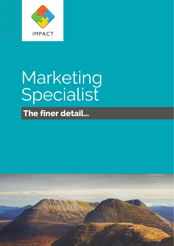

# Marketing<br>Specialist

The finer detail...

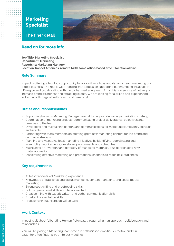

### **Read on for more info…**

**Job Title: Marketing Specialist Department: Marketing Reports to: Marketing Manager Location: Impact Americas, remote (with some office-based time if location allows)**

### **Role Summary**

Impact is offering a fabulous opportunity to work within a busy and dynamic team marketing our global business. The role is wide-ranging with a focus on supporting our marketing initiatives in US region and collaborating with the global marketing team. All of this is in service of helping us increase brand awareness and attracting clients. We are looking for a skilled and experienced individual with bags of enthusiasm and creativity!

### **Duties and Responsibilities**

- Supporting Impact's Marketing Manager in establishing and delivering a marketing strategy
- Coordination of marketing projects: communicating project deliverables, objectives and timelines to the team
- Developing and maintaining content and communications for marketing campaigns, activities and events.
- Partnering with team members on creating great new marketing content for the brand and campaign strategy
- Planning and managing local marketing initiatives by identifying, coordinating and assembling requirements, developing assignments and schedules
- Maintaining an inventory and directory of marketing materials, plus coordinating new material creation
- Discovering effective marketing and promotional channels to reach new audiences

### **Key requirements:**

- At least two years of Marketing experience
- Knowledge of traditional and digital marketing, content marketing, and social media marketing
- Strong copywriting and proofreading skills
- Solid organizational skills and detail oriented
- Creative mind with superb written and verbal communication skills
- Excellent presentation skills
- Proficiency in full Microsoft Office suite

### **Work Context**

Impact is all about 'Liberating Human Potential', through a human approach, collaboration and relationships.

You will be joining a Marketing team who are enthusiastic, ambitious, creative and fun. Laughter often finds its way into our meetings